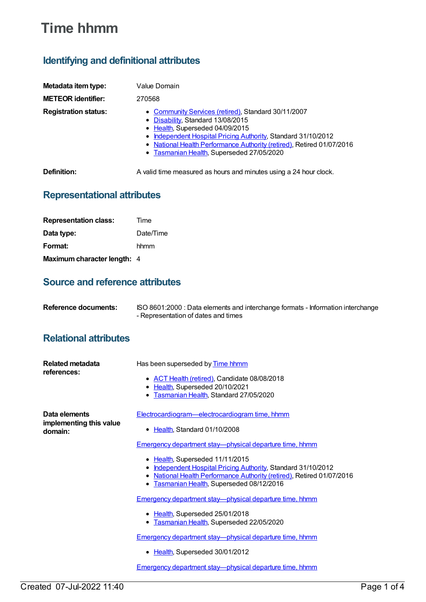# **Time hhmm**

## **Identifying and definitional attributes**

| Metadata item type:         | Value Domain                                                                                                                                                                                                                                                                                                       |
|-----------------------------|--------------------------------------------------------------------------------------------------------------------------------------------------------------------------------------------------------------------------------------------------------------------------------------------------------------------|
| <b>METEOR identifier:</b>   | 270568                                                                                                                                                                                                                                                                                                             |
| <b>Registration status:</b> | • Community Services (retired), Standard 30/11/2007<br>• Disability, Standard 13/08/2015<br>• Health, Superseded 04/09/2015<br>• Independent Hospital Pricing Authority, Standard 31/10/2012<br>• National Health Performance Authority (retired), Retired 01/07/2016<br>• Tasmanian Health, Superseded 27/05/2020 |
| Definition:                 | A valid time measured as hours and minutes using a 24 hour clock.                                                                                                                                                                                                                                                  |

### **Representational attributes**

| <b>Representation class:</b> | Time      |
|------------------------------|-----------|
| Data type:                   | Date/Time |
| Format:                      | hhmm      |
| Maximum character length: 4  |           |

### **Source and reference attributes**

| Reference documents: | ISO 8601:2000 : Data elements and interchange formats - Information interchange |
|----------------------|---------------------------------------------------------------------------------|
|                      | - Representation of dates and times                                             |

### **Relational attributes**

| Related metadata<br>references:                     | Has been superseded by Time hhmm                                                                                                                                                                                 |
|-----------------------------------------------------|------------------------------------------------------------------------------------------------------------------------------------------------------------------------------------------------------------------|
|                                                     | • ACT Health (retired), Candidate 08/08/2018                                                                                                                                                                     |
|                                                     | Health, Superseded 20/10/2021<br>$\bullet$                                                                                                                                                                       |
|                                                     | Tasmanian Health, Standard 27/05/2020<br>٠                                                                                                                                                                       |
| Data elements<br>implementing this value<br>domain: | Electrocardiogram-electrocardiogram time, hhmm                                                                                                                                                                   |
|                                                     | • Health, Standard 01/10/2008                                                                                                                                                                                    |
|                                                     | Emergency department stay-physical departure time, hhmm                                                                                                                                                          |
|                                                     | • Health, Superseded 11/11/2015<br>Independent Hospital Pricing Authority, Standard 31/10/2012<br>National Health Performance Authority (retired), Retired 01/07/2016<br>Tasmanian Health, Superseded 08/12/2016 |
|                                                     | Emergency department stay-physical departure time, hhmm                                                                                                                                                          |
|                                                     | • Health, Superseded 25/01/2018<br>Tasmanian Health, Superseded 22/05/2020<br>$\bullet$                                                                                                                          |
|                                                     | Emergency department stay-physical departure time, hhmm                                                                                                                                                          |
|                                                     | Health, Superseded 30/01/2012<br>٠                                                                                                                                                                               |
|                                                     | Emergency department stay-physical departure time, hhmm                                                                                                                                                          |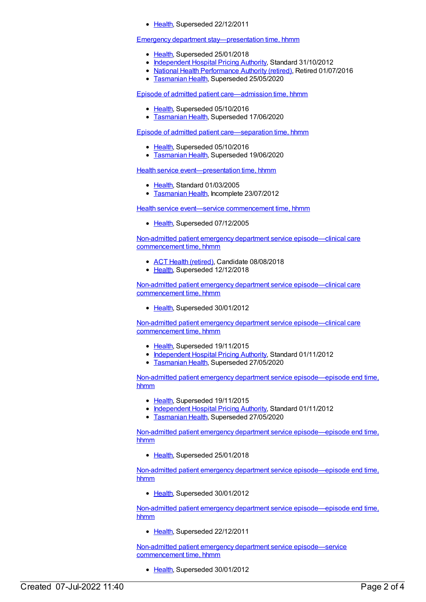• [Health](https://meteor.aihw.gov.au/RegistrationAuthority/12), Superseded 22/12/2011

#### Emergency department stay-presentation time, hhmm

- [Health](https://meteor.aihw.gov.au/RegistrationAuthority/12), Superseded 25/01/2018
- [Independent](https://meteor.aihw.gov.au/RegistrationAuthority/3) Hospital Pricing Authority, Standard 31/10/2012
- National Health [Performance](https://meteor.aihw.gov.au/RegistrationAuthority/8) Authority (retired), Retired 01/07/2016
- **[Tasmanian](https://meteor.aihw.gov.au/RegistrationAuthority/15) Health, Superseded 25/05/2020**

Episode of admitted patient [care—admission](https://meteor.aihw.gov.au/content/269972) time, hhmm

- [Health](https://meteor.aihw.gov.au/RegistrationAuthority/12), Superseded 05/10/2016
- [Tasmanian](https://meteor.aihw.gov.au/RegistrationAuthority/15) Health, Superseded 17/06/2020

Episode of admitted patient [care—separation](https://meteor.aihw.gov.au/content/270026) time, hhmm

- [Health](https://meteor.aihw.gov.au/RegistrationAuthority/12), Superseded 05/10/2016
- [Tasmanian](https://meteor.aihw.gov.au/RegistrationAuthority/15) Health, Superseded 19/06/2020

Health service [event—presentation](https://meteor.aihw.gov.au/content/270080) time, hhmm

- [Health](https://meteor.aihw.gov.au/RegistrationAuthority/12), Standard 01/03/2005
- [Tasmanian](https://meteor.aihw.gov.au/RegistrationAuthority/15) Health, Incomplete 23/07/2012

Health service event—service [commencement](https://meteor.aihw.gov.au/content/270095) time, hhmm

• [Health](https://meteor.aihw.gov.au/RegistrationAuthority/12), Superseded 07/12/2005

Non-admitted patient emergency department service [episode—clinical](https://meteor.aihw.gov.au/content/621847) care commencement time, hhmm

- ACT Health [\(retired\)](https://meteor.aihw.gov.au/RegistrationAuthority/9), Candidate 08/08/2018
- [Health](https://meteor.aihw.gov.au/RegistrationAuthority/12), Superseded 12/12/2018

Non-admitted patient emergency department service [episode—clinical](https://meteor.aihw.gov.au/content/471913) care commencement time, hhmm

• [Health](https://meteor.aihw.gov.au/RegistrationAuthority/12), Superseded 30/01/2012

Non-admitted patient emergency department service [episode—clinical](https://meteor.aihw.gov.au/content/474118) care commencement time, hhmm

- [Health](https://meteor.aihw.gov.au/RegistrationAuthority/12), Superseded 19/11/2015
- [Independent](https://meteor.aihw.gov.au/RegistrationAuthority/3) Hospital Pricing Authority, Standard 01/11/2012
- **[Tasmanian](https://meteor.aihw.gov.au/RegistrationAuthority/15) Health, Superseded 27/05/2020**

Non-admitted patient emergency department service [episode—episode](https://meteor.aihw.gov.au/content/474169) end time, hhmm

- [Health](https://meteor.aihw.gov.au/RegistrationAuthority/12), Superseded 19/11/2015
- [Independent](https://meteor.aihw.gov.au/RegistrationAuthority/3) Hospital Pricing Authority, Standard 01/11/2012
- **[Tasmanian](https://meteor.aihw.gov.au/RegistrationAuthority/15) Health, Superseded 27/05/2020**

Non-admitted patient emergency department service [episode—episode](https://meteor.aihw.gov.au/content/621853) end time, hhmm

• [Health](https://meteor.aihw.gov.au/RegistrationAuthority/12), Superseded 25/01/2018

Non-admitted patient emergency department service [episode—episode](https://meteor.aihw.gov.au/content/471904) end time, hhmm

• [Health](https://meteor.aihw.gov.au/RegistrationAuthority/12), Superseded 30/01/2012

Non-admitted patient emergency department service [episode—episode](https://meteor.aihw.gov.au/content/322621) end time, hhmm

• [Health](https://meteor.aihw.gov.au/RegistrationAuthority/12), Superseded 22/12/2011

Non-admitted patient emergency department service [episode—service](https://meteor.aihw.gov.au/content/390401) commencement time, hhmm

• [Health](https://meteor.aihw.gov.au/RegistrationAuthority/12), Superseded 30/01/2012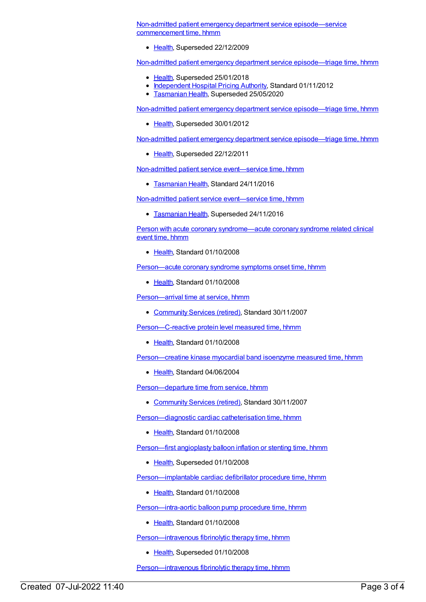Non-admitted patient emergency department service [episode—service](https://meteor.aihw.gov.au/content/313806) commencement time, hhmm

• [Health](https://meteor.aihw.gov.au/RegistrationAuthority/12), Superseded 22/12/2009

Non-admitted patient emergency department service [episode—triage](https://meteor.aihw.gov.au/content/474193) time, hhmm

- [Health](https://meteor.aihw.gov.au/RegistrationAuthority/12), Superseded 25/01/2018
- [Independent](https://meteor.aihw.gov.au/RegistrationAuthority/3) Hospital Pricing Authority, Standard 01/11/2012
- [Tasmanian](https://meteor.aihw.gov.au/RegistrationAuthority/15) Health, Superseded 25/05/2020

Non-admitted patient emergency department service [episode—triage](https://meteor.aihw.gov.au/content/473167) time, hhmm

• [Health](https://meteor.aihw.gov.au/RegistrationAuthority/12), Superseded 30/01/2012

Non-admitted patient emergency department service [episode—triage](https://meteor.aihw.gov.au/content/313817) time, hhmm

• [Health](https://meteor.aihw.gov.au/RegistrationAuthority/12), Superseded 22/12/2011

Non-admitted patient service [event—service](https://meteor.aihw.gov.au/content/661238) time, hhmm

**[Tasmanian](https://meteor.aihw.gov.au/RegistrationAuthority/15) Health, Standard 24/11/2016** 

Non-admitted patient service [event—service](https://meteor.aihw.gov.au/content/454271) time, hhmm

**[Tasmanian](https://meteor.aihw.gov.au/RegistrationAuthority/15) Health, Superseded 24/11/2016** 

Person with acute coronary [syndrome—acute](https://meteor.aihw.gov.au/content/349809) coronary syndrome related clinical event time, hhmm

• [Health](https://meteor.aihw.gov.au/RegistrationAuthority/12), Standard 01/10/2008

[Person—acute](https://meteor.aihw.gov.au/content/321211) coronary syndrome symptoms onset time, hhmm

• [Health](https://meteor.aihw.gov.au/RegistrationAuthority/12), Standard 01/10/2008

[Person—arrival](https://meteor.aihw.gov.au/content/314962) time at service, hhmm

• [Community](https://meteor.aihw.gov.au/RegistrationAuthority/1) Services (retired), Standard 30/11/2007

[Person—C-reactive](https://meteor.aihw.gov.au/content/343853) protein level measured time, hhmm

• [Health](https://meteor.aihw.gov.au/RegistrationAuthority/12), Standard 01/10/2008

[Person—creatine](https://meteor.aihw.gov.au/content/285179) kinase myocardial band isoenzyme measured time, hhmm

• [Health](https://meteor.aihw.gov.au/RegistrationAuthority/12), Standard 04/06/2004

[Person—departure](https://meteor.aihw.gov.au/content/314976) time from service, hhmm

• [Community](https://meteor.aihw.gov.au/RegistrationAuthority/1) Services (retired), Standard 30/11/2007

Person-diagnostic cardiac catheterisation time, hhmm

• [Health](https://meteor.aihw.gov.au/RegistrationAuthority/12), Standard 01/10/2008

[Person—first](https://meteor.aihw.gov.au/content/285191) angioplasty balloon inflation or stenting time, hhmm

• [Health](https://meteor.aihw.gov.au/RegistrationAuthority/12), Superseded 01/10/2008

[Person—implantable](https://meteor.aihw.gov.au/content/359678) cardiac defibrillator procedure time, hhmm

• [Health](https://meteor.aihw.gov.au/RegistrationAuthority/12), Standard 01/10/2008

[Person—intra-aortic](https://meteor.aihw.gov.au/content/359691) balloon pump procedure time, hhmm

• [Health](https://meteor.aihw.gov.au/RegistrationAuthority/12), Standard 01/10/2008

[Person—intravenous](https://meteor.aihw.gov.au/content/285201) fibrinolytic therapy time, hhmm

• [Health](https://meteor.aihw.gov.au/RegistrationAuthority/12), Superseded 01/10/2008

[Person—intravenous](https://meteor.aihw.gov.au/content/360949) fibrinolytic therapy time, hhmm